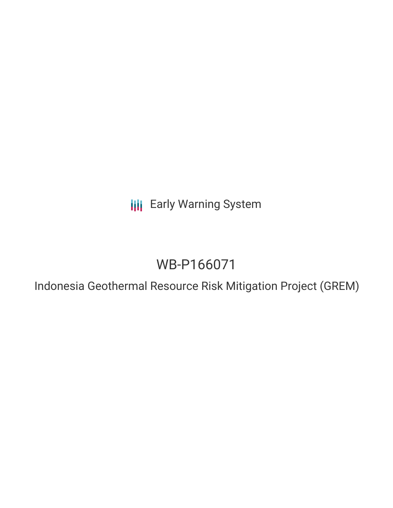**III** Early Warning System

# WB-P166071

Indonesia Geothermal Resource Risk Mitigation Project (GREM)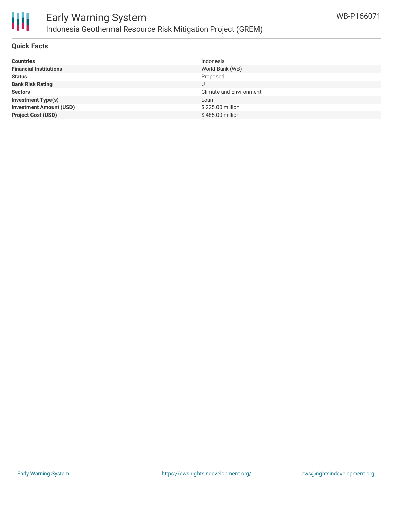

## **Quick Facts**

| <b>Countries</b>               | Indonesia               |
|--------------------------------|-------------------------|
| <b>Financial Institutions</b>  | World Bank (WB)         |
| <b>Status</b>                  | Proposed                |
| <b>Bank Risk Rating</b>        | U                       |
| <b>Sectors</b>                 | Climate and Environment |
| <b>Investment Type(s)</b>      | Loan                    |
| <b>Investment Amount (USD)</b> | \$225.00 million        |
| <b>Project Cost (USD)</b>      | \$485.00 million        |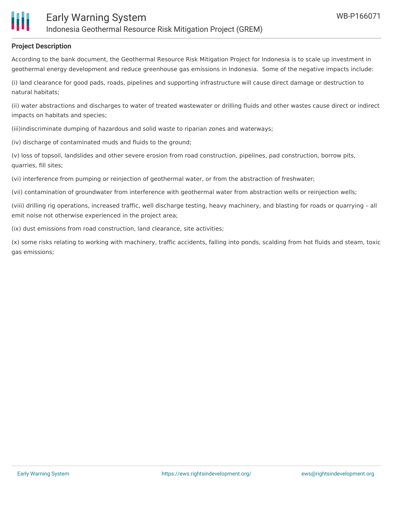## **Project Description**

According to the bank document, the Geothermal Resource Risk Mitigation Project for Indonesia is to scale up investment in geothermal energy development and reduce greenhouse gas emissions in Indonesia. Some of the negative impacts include:

(i) land clearance for good pads, roads, pipelines and supporting infrastructure will cause direct damage or destruction to natural habitats;

(ii) water abstractions and discharges to water of treated wastewater or drilling fluids and other wastes cause direct or indirect impacts on habitats and species;

(iii)indiscriminate dumping of hazardous and solid waste to riparian zones and waterways;

(iv) discharge of contaminated muds and fluids to the ground;

(v) loss of topsoil, landslides and other severe erosion from road construction, pipelines, pad construction, borrow pits, quarries, fill sites;

(vi) interference from pumping or reinjection of geothermal water, or from the abstraction of freshwater;

(vii) contamination of groundwater from interference with geothermal water from abstraction wells or reinjection wells;

(viii) drilling rig operations, increased traffic, well discharge testing, heavy machinery, and blasting for roads or quarrying – all emit noise not otherwise experienced in the project area;

(ix) dust emissions from road construction, land clearance, site activities;

(x) some risks relating to working with machinery, traffic accidents, falling into ponds, scalding from hot fluids and steam, toxic gas emissions;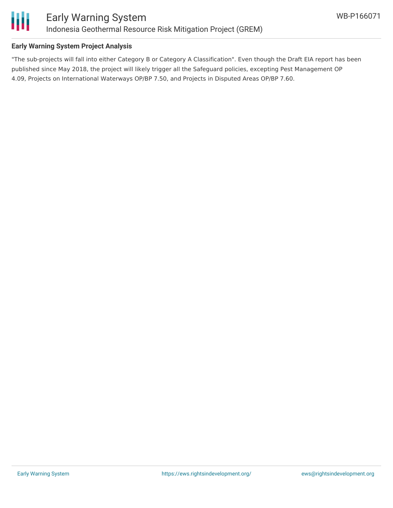

# **Early Warning System Project Analysis**

"The sub-projects will fall into either Category B or Category A Classification". Even though the Draft EIA report has been published since May 2018, the project will likely trigger all the Safeguard policies, excepting Pest Management OP 4.09, Projects on International Waterways OP/BP 7.50, and Projects in Disputed Areas OP/BP 7.60.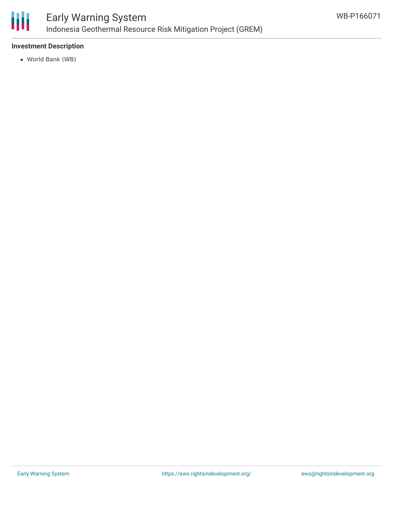

## **Investment Description**

World Bank (WB)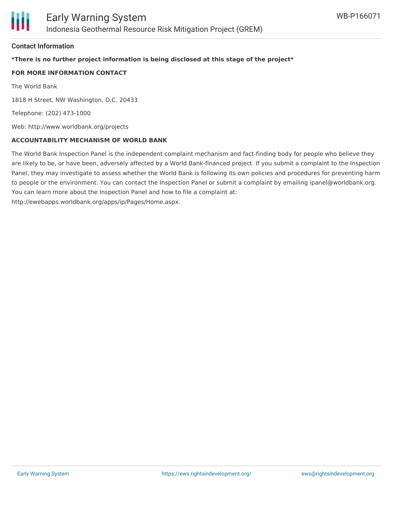#### **Contact Information**

# **\*There is no further project information is being disclosed at this stage of the project\***

#### **FOR MORE INFORMATION CONTACT**

The World Bank

1818 H Street, NW Washington, D.C. 20433

Telephone: (202) 473-1000

Web: http://www.worldbank.org/projects

#### **ACCOUNTABILITY MECHANISM OF WORLD BANK**

The World Bank Inspection Panel is the independent complaint mechanism and fact-finding body for people who believe they are likely to be, or have been, adversely affected by a World Bank-financed project. If you submit a complaint to the Inspection Panel, they may investigate to assess whether the World Bank is following its own policies and procedures for preventing harm to people or the environment. You can contact the Inspection Panel or submit a complaint by emailing ipanel@worldbank.org. You can learn more about the Inspection Panel and how to file a complaint at: http://ewebapps.worldbank.org/apps/ip/Pages/Home.aspx.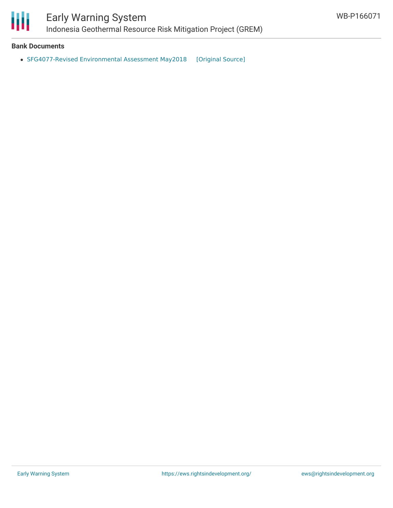

## **Bank Documents**

• [SFG4077-Revised](https://ewsdata.rightsindevelopment.org/files/documents/71/WB-P166071.pdf) Environmental Assessment May2018 [\[Original](http://documents.worldbank.org/curated/en/683141519642635894/pdf/SFG4077-EA-REVISED-P166071-PUBLIC-Disclosed-5-15-2018.pdf) Source]